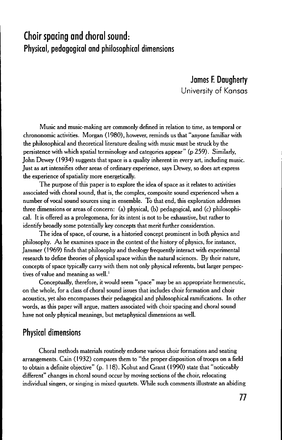# **Choir spacing and choral sound: Physical, pedagogical and philosophical dimensions**

**James F.Daugherty** University of Kansas

Music and music-making are commonly defined in relation to time, as temporal or chrononomic activities. Morgan (1980), however, reminds us that" anyone familiar with the philosophical and theoretical literature dealing with music must be struck by the persistence with which spatial terminology and categories appear" (p 259). Similarly, John Dewey (1934) suggests that space is a quality inherent in every art, including music. Just as art intensifies other areas of ordinary experience, says Dewey, so does art express the experience of spatiality more energetically.

The purpose of this paper is to explore the idea of space as it relates to activities associated with choral sound, that is, the complex, composite sound experienced when a number of vocal sound sources sing in ensemble. To that end, this exploration addresses three dimensions or areas of concern: (a) physical, (b) pedagogical, and (c) philosophical. It is offered as a prolegomena, for its intent is not to be exhaustive, but rather to identify broadly some potentially key concepts that merit further consideration.

The idea of space, of course, is a historied concept prominent in both physics and philosophy. As he examines space in the context of the history of physics, for instance, Jammer (1969) finds that philosophy and theology frequently interact with experimental research to define theories of physical space within the natural sciences. By their nature, concepts of space typically carry with them not only physical referents, but larger perspectives of value and meaning as well.<sup>1</sup>

Conceptually, therefore, it would seem "space" may be an appropriate hermeneutic, on the whole, for a class of choral sound issues that includes choir formation and choir acoustics, yet also encompasses their pedagogical and philosophical ramifications. In other words, as this paper will argue, matters associated with choir spacing and choral sound have not only physical meanings, but metaphysical dimensions as well.

#### **Physical dimensions**

Choral methods materials routinely endorse various choir formations and seating arrangements. Cain (1932) compares them to "the proper disposition of troops on a field to obtain a definite objective" (p. 118). Kohut and Grant (1990) state that "noticeably different" changes in choral sound occur by moving sections of the choir, relocating individual singers, or singing in mixed quartets. While such comments illustrate an abiding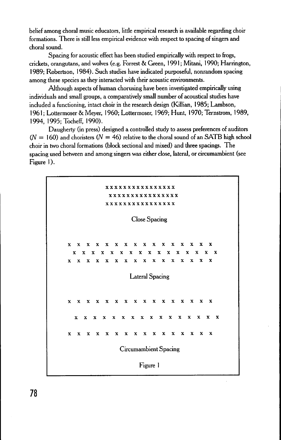belief among choral music educators, little empirical research is available regarding choir formations. There is still less empirical evidencewith respect to spacing of singers and choral sound.

Spacing for acoustic effect has been studied empirically with respect to frogs, crickets, orangutans, and wolves(e.g. Forrest & Green, 1991; Mitani, 1990; Harrington, 1989; Robertson, 1984). Such studies have indicated purposeful, nonrandom spacing among these species as they interacted with their acoustic environments.

Although aspects of human chorusing have been investigated empirically using individuals and small groups, a comparatively small number of acoustical studies have included a functioning, intact choir in the research design (Killian, 1985; Lambson, 1961; Lottermoser & Meyer, 1960; Lottermoser, 1969; Hunt, 1970; Ternstrom, 1989, 1994, 1995; Tocheff, 1990).

Daugherty (in press) designed a controlled study to assess preferences of auditors  $(N = 160)$  and choristers  $(N = 46)$  relative to the choral sound of an SATB high school choir in two choral formations (block sectional and mixed) and three spacings. The spacing used between and among singers was either close, lateral, or circumambient (see Figure 1).



**78**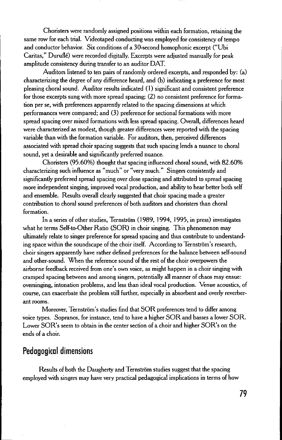Choristers were randomly assigned positions within each formation, retaining the same row for each trial. Videotaped conducting was employed for consistency of tempo and conductor behavior. Six conditions of a 30-second homophonic excerpt ("Ubi Caritas," Duruflé) were recorded digitally. Excerpts were adjusted manually for peak amplitude consistency during transfer to an auditor OAT.

Auditors listened to ten pairs of randomly ordered excerpts, and responded by: (a) characterizing the degree of any difference heard, and (b) indicating a preference for most pleasing choral sound. Auditor results indicated (1) significant and consistent preference for those excerpts sung with more spread spacing; (2) no consistent preference for formation per se, with preferences apparently related to the spacing dimensions at which performances were compared; and (3) preference for sectional formations with more spread spacing over mixed formations with less spread spacing. Overall, differences heard were characterized as modest, though greater differences were reported with the spacing variable than with the formation variable. For auditors, then, perceived differences associated with spread choir spacing suggests that such spacing lends a nuance to choral sound, yet a desirable and significantly preferred nuance.

Choristers (95.60%) thought that spacing influenced choral sound, with 82.60% characterizing such influence as "much" or "very much." Singers consistently and significantly preferred spread spacing over close spacing and attributed to spread spacing more independent singing, improved vocal production, and ability to hear better both self and ensemble. Results overall clearly suggested that choir spacing made a greater contribution to choral sound preferences of both auditors and choristers than choral formation.

In a series of other studies, Ternström (1989, 1994, 1995, in press) investigates what he terms Self-to-Other Ratio (SOR) in choir singing. This phenomenon may ultimately relate to singer preference for spread spacing and thus contribute to understanding space within the soundscape of the choir itself. According to Ternström's research, choir singers apparently have rather defined preferences for the balance between self-sound and other-sound. When the reference sound of the rest of the choir overpowers the airborne feedback received from one's own voice, as might happen in a choir singing with cramped spacing between and among singers, potentially all manner of chaos may ensue: oversinging, intonation problems, and less than ideal vocal production. Venue acoustics, of course, can exacerbate the problem still further, especially in absorbent and overly reverberant rooms.

Moreover, Ternström's studies find that SOR preferences tend to differ among voice types. Sopranos, for instance, tend to have a higher SOR and basses a lower SOR. Lower SOR's seem to obtain in the center section of a choir and higher SOR's on the ends of a choir.

## **Pedagogical dimensions**

Results of both the Daugherty and Ternström studies suggest that the spacing employed with singers may have very practical pedagogical implications in terms of how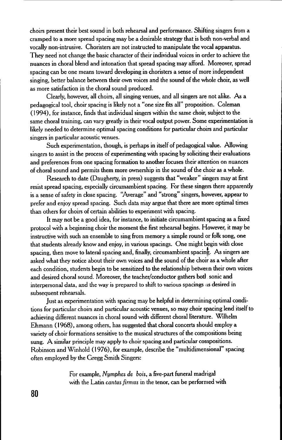choirs present their best sound in both rehearsal and performance. Shifting singers from a cramped to a more spread spacing may be a desirable strategy that is both non-verbal and vocally non-intrusive. Choristers are not instructed to manipulate the vocal apparatus. They need not change the basic character of their individual voices in order to achieve the nuances in choral blend and intonation that spread spacing may afford. Moreover, spread spacing can be one means toward developing in choristers a sense of more independent singing, better balance between their own voices and the sound of the whole choir, as well as more satisfaction in the choral sound produced.

Clearly, however, all choirs, all singing venues, and all singers are not alike. As a pedagogical tool, choir spacing is likely not a "one size fits all" proposition. Coleman (1994), for instance, finds that individual singers within the same choir, subject to the same choral training, can vary greatly in their vocal output power. Some experimentation is likely needed to determine optimal spacing conditions for particular choirs and particular singers in particular acoustic venues.

Such experimentation, though, is perhaps in itself of pedagogical value. Allowing singers to assist in the process of experimenting with spacing by soliciting their evaluations and preferences from one spacing formation to another focuses their attention on nuances of choral sound and permits them more ownership in the sound of the choir as a whole.

Research to date (Daugherty, in press) suggests that "weaker" singers may at first resist spread spacing, especially circumambient spacing. For these singers there apparently is a sense of safety in close spacing. "Average" and "strong" singers, however, appear to prefer and enjoy spread spacing. Such data may argue that there are more optimal times than others for choirs of certain abilities to experiment with spacing.

It may not be a good idea, for instance, to initiate circumambient spacing as a fixed protocol with a beginning choir the moment the first rehearsal begins. However, it may be instructive with such an ensemble to sing from memory a simple round or folk song, one that students already know and enjoy, in various spacings. One might begin with close spacing, then move to lateral spacing and, finally, circumambient spacing. As singers are asked what they notice about their own voices and the sound of the choir as a whole after each condition, students begin to be sensitized to the relationship between their own voices and desired choral sound. Moreover, the teacher/conductor gathers botl sonic and interpersonal data, and the way is prepared to shift to various spacings as desired in subsequent rehearsals.

Just as experimentation with spacing may be helpful in determining optimal conditions for particular choirs and particular acoustic venues, so may choir spacing lend itself to achieving different nuances in choral sound with different choral literature. Wilhelm Ehmann (1968), among others, has suggested that choral concerts should employ a variety of choir formations sensitive to the musical structures of the compositions being sung. A similar principle may apply to choir spacing and particular compositions. Robinson and Winhold (1976), for example, describe the "multidimensional" spacing often employed by the Gregg Smith Singers:

> For example, *Nymphes de bois,* a five-part funeral madrigal with the Latin *cantus jirmus* in the tenor, can be performed with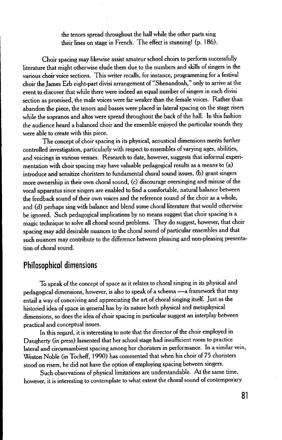the tenors spread throughout the hall while the other parts sing their lines on stage in French. The effect is stunning! (p. 186).

Choir spacing may likewise assist amateur school choirs to perform successfully literature that might otherwise elude them due to the numbers and skills of singers in the various choir voice sections. This writer recalls, for instance, programming for a festival choir theJames Erb eight-part divisi arrangement of "Shenandoah," only to arrive at the event to discover that while there were indeed an equal number of singers in each divisi section as promised, the male voices were far weaker than the female voices. Rather than abandon the piece, the tenors and basses were placed in lateral spacing on the stage risers while the sopranos and altos were spread throughout the back of the hall. In this fashion the audience heard a balanced choir and the ensemble enjoyed the particular sounds they were able to create with this piece.

The concept of choir spacing in its physical, acoustical dimensions merits further controlled investigation, particularly with respect to ensembles of varying ages, abilities, and voicings in various venues. Research to date, however, suggests that informal experimentation with choir spacing may have valuable pedagogical results as a means to (a) introduce and sensitize choristers to fundamental choral sound issues, (b) grant singers more ownership in their own choral sound, (c) discourage oversinging and misuse of the vocal apparatus since singers are enabled to find a comfortable, natural balance between the feedback sound of their own voices and the reference sound of the choir as a whole, and (d) perhaps sing with balance and blend some choral literature that would otherwise be ignored. Such pedagogical implications by no means suggest that choir spacing is a magic technique to solve all choral sound problems. They do suggest, however, that choir spacing may add desirable nuances to the choral sound of particular ensembles and that such nuances may contribute to the difference between pleasing and non-pleasing presentation of choral sound.

#### **Philosophical dimensions**

To speak of the concept of space as it relates to choral singing in its physical and pedagogical dimensions, however, is also to speak of a schema -a framework that may entail a way of conceiving and appreciating the art of choral singing itself. Just as the historied idea of space in general has by its nature both physical and metaphysical dimensions, so does the idea of choir spacing in particular suggest an interplay between practical and conceptual issues.

In this regard, it is interesting to note that the director of the choir employed in Daugherty (in press) lamented that her school stage had insufficient room to practice lateral and circumambient spacing among her choristers in performance. In a similar vein, Weston Noble (in Tocheff, 1990) has commented that when his choir of 75 choristers stood on risers, he did not have the option of employing spacing between singers.

Such observations of physical limitations are understandable. At the same time, however, it is interesting to contemplate to what extent the choral sound of contemporary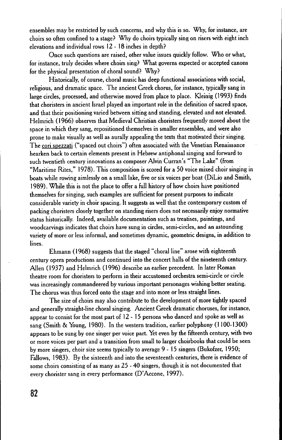ensembles may be restricted by such concerns, and why this is so. Why, for instance, are choirs so often confined to a stage? Why do choirs typically sing on risers with eight inch elevations and individual rows 12 - 18 inches in depth?

Once such questions are raised, other value issues quickly follow. Who or what, for instance, truly decides where choirs sing? What governs expected or accepted canons for the physical presentation of choral sound? Why?

Historically, of course, choral music has deep functional associations with social, religious, and dramatic space. The ancient Greek chorus, for instance, typically sang in large circles, processed, and otherwise moved from place to place. Kleinig (1993) finds that choristers in ancient Israel played an important role in the definition of sacred space, and that their positioning varied between sitting and standing, elevated and not elevated. Helmrich (1966) observes that Medieval Christian choristers frequently moved about the space in which they sang, repositioned themselves in smaller ensembles, and were also prone to make visually as well as aurally appealing the texts that motivated their singing. The cori spezzati ("spaced out choirs") often associated with the Venetian Renaissance hearken back to certain elements present in Hebrew antiphonal singing and forward to such twentieth century innovations as composer Alvin Curran's "The Lake" (from "Maritime Rites," 1978). This composition is scored for a 50 voice mixed choir singing in boats while rowing aimlessly on a small lake, five or six voices per boat (DiLio and Smith, 1989). While this is not the place to offer a full history of how choirs have positioned themselves for singing, such examples are sufficient for present purposes to indicate considerable variety in choir spacing. It suggests as well that the contemporary custom of packing choristers closely together on standing risers does not necessarily enjoy normative status historically. Indeed, available documentation such as treatises, paintings, and woodcarvings indicates that choirs have sung in circles, semi-circles, and an astounding variety of more or less informal, and sometimes dynamic, geometric designs, in addition to lines.

Ehmann (1968) suggests that the staged "choral line" arose with eighteenth century opera productions and continued into the concert halls of the nineteenth century. Allen (1937) and Helmrich (1996) describe an earlier precedent. In later Roman theatre room for choristers to perform in their accustomed orchestra semi-circle or circle was increasingly commandeered by various important personages wishing better seating. The chorus was thus forced onto the stage and into more or less straight lines.

The size of choirs may also contribute to the development of more tightly spaced and generally straight-line choral singing. Ancient Greek dramatic choruses, for instance, appear to consist for the most part of 12 - 15 persons who danced and spoke as well as sang (Smith & Young, 1980). In the western tradition, earlier polyphony (1100-1300) appears to be sung by one singer per voice part. Yet even by the fifteenth century, with two or more voices per part and a transition from small to larger choirbooks that could be seen by more singers, choir size seems typically to average 9 - 15 singers (Bukofzer, 1950; Fallows, 1983). By the sixteenth and into the seventeenth centuries, there is evidence of some choirs consisting of as many as 25 - 40 singers, though it is not documented that every chorister sang in every performance (D'Accone, 1997).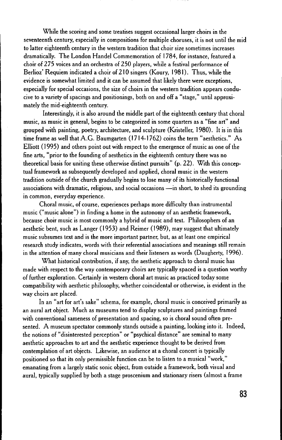While the scoring and some treatises suggest occasional larger choirs in the seventeenth century, especially in compositions for multiple choruses, it is not until the mid to latter eighteenth century in the western tradition that choir size sometimes increases dramatically. The London Handel Commemoration of 1784, for instance, featured a choir of 275 voices and an orchestra of 250 players, while a festival performance of Berlioz' Requiem indicated a choir of 210 singers (Koury, 1981). Thus, while the evidence is somewhat limited and it can be assumed that likely there were exceptions, especially for special occasions, the size of choirs in the western tradition appears conducive to a variety of spacings and positionings, both on and off a "stage," until approximately the mid-eighteenth century.

Interestingly, it is also around the middle part of the eighteenth century that choral music, as music in general, begins to be categorized in some quarters as a "fine art" and grouped with painting, poetry, architecture, and sculpture (Kristeller, 1980). It is in this time frame as well that A.G. Baumgarten (1714.1762) coins the term "aesthetics." As Elliott (1995) and others point out with respect to the emergence of music as one of the fine arts, "prior to the founding of aesthetics in the eighteenth century there was no theoretical basis for uniting these otherwise distinct pursuits" (p.22). With this conceptual framework as subsequently developed and applied, choral music in the western tradition outside of the church gradually begins to lose many of its historically functional associations with dramatic, religious, and social occasions -in short, to shed its grounding in common, everyday experience.

Choral music, of course, experiences perhaps more difficulty than instrumental music ("music alone") in finding a home in the autonomy of an aesthetic framework, because choir music is most commonly a hybrid of music and text. Philosophers of an aesthetic bent, such as Langer (1953) and Reimer (1989), may suggest that ultimately music subsumes text and is the more important partner, but, as at least one empirical research study indicates, words with their referential associations and meanings still remain in the attention of many choral musicians and their listeners as words (Daugherty, 1996).

What historical contribution, if any, the aesthetic approach to choral music has made with respect to the way contemporary choirs are typically spaced is a question worthy of further exploration. Certainly in western choral art music as practiced today some compatibility with aesthetic philosophy, whether coincidental or otherwise, is evident in the way choirs are placed.

In an "art for art's sake" schema, for example, choral music is conceived primarily as an aural art object. Much as museums tend to display sculptures and paintings framed with conventional sameness of presentation and spacing, so is choral sound often presented. A museum spectator commonly stands outside a painting, looking into it. Indeed, the notions of "disinterested perception" or "psychical distance" are seminal to many aesthetic approaches to art and the aesthetic experience thought to be derived from contemplation of art objects. Likewise, an audience at a choral concert is typically positioned so that its only permissible function can be to listen to a musical "work," emanating from a largely static sonic object, from outside a framework, both visual and aural, typically supplied by both a stage proscenium and stationary risers (almost a frame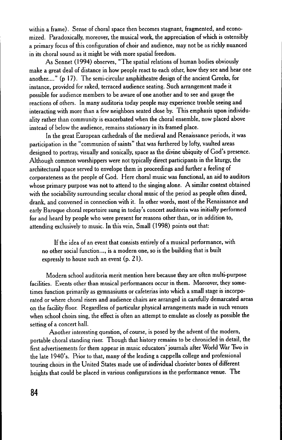within a frame). Sense of choral space then becomes stagnant. fragmented. and economized. Paradoxically. moreover. the musical work. the appreciation of which is ostensibly a primary focus of this configuration of choir and audience. may not be as richly nuanced in its choral sound as it might be with more spatial freedom.

As Sennet (1994) observes. "The spatial relations of human bodies obviously make a great deal of distance in how people react to each other. how they see and hear one another...." (p 17). The semi-circular amphitheatre design of the ancient Greeks, for instance. provided for raked, terraced audience seating. Such arrangement made it possible for audience members to be aware of one another and to see and gauge the reactions of others. In many auditoria today people may experience trouble seeing and interacting with more than a few neighbors seated close by. This emphasis upon individuality rather than community is exacerbated when the choral ensemble. now placed above instead of below the audience. remains stationary in its framed place.

In the great European cathedrals of the medieval and Renaissance periods, it was participation in the "communion of saints" that was furthered by lofty, vaulted areas designed to portray. visually and sonically. space as the divine ubiquity of God's presence. Although common worshippers were not typically direct participants in the liturgy. the architectural space served to envelope them in proceedings and further a.feeling of corporate ness as the people of God. Here choral music was functional, an aid to auditors whose primary purpose was not to attend to the singing alone. A similar context obtained with the sociability surrounding secular choral music of the period as people often dined, drank. and conversed in connection with it. In other words. most of the Renaissance and early Baroque choral repertoire sung in today's concert auditoria was initially performed for and heard by people who were present for reasons other than. or in addition to. attending exclusively to music. In this vein, Small (1998) points out that:

If the idea of an event that consists entirely of a musical performance. with no other social function..., is a modern one, so is the building that is built expressly to house such an event (p. 21).

Modern school auditoria merit mention here because they are often multi-purpose facilities. Events other than musical performances occur in them. Moreover, they sometimes function primarily as gymnasiums or cafeterias into which a small stage is incorporated or where choral risers and audience chairs are arranged in carefully demarcated areas on the facility floor. Regardless of particular physical arrangements made in such venues when school choirs sing, the effect is often an attempt to emulate as closely as possible the setting of a concert hall.

Another interesting question. of course, is posed by the advent of the modern, portable choral standing riser. Though that history remains to be chronicled in detail, the first advertisements for them appear in music educators' journals after World War Two in the late 1940's. Prior to that, many of the leading a cappella college and professional touring choirs in the United States made use of individual chorister boxes of different heights that could be placed in various configurations in the performance venue. The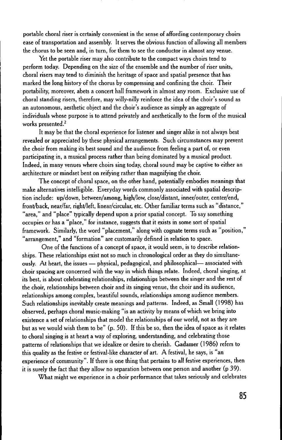portable choral riser is certainly convenient in the sense of affording contemporary choirs ease of transportation and assembly. It serves the obvious function of allowing all members the chorus to be seen and, in turn, for them to see the conductor in almost any venue.

Yet the portable riser may also contribute to the compact ways choirs tend to perform today. Depending on the size of the ensemble and the number of riser units, choral risers may tend to diminish the heritage of space and spatial presence that has marked the long history of the chorus by compressing and confining the choir. Their portability, moreover, abets a concert hall framework in almost any room. Exclusive use of choral standing risers, therefore, may willy-nilly reinforce the idea of the choir's sound as an autonomous, aesthetic object and the choir's audience as simply an aggregate of individuals whose purpose is to attend privately and aesthetically to the form of the musical works presented.<sup>2</sup>

It may be that the choral experience for listener and singer alike is not always best revealed or appreciated by these physical arrangements. Such circumstances may prevent the choir from making its best sound and the audience from feeling a part of, or even participating in, a musical process rather than being dominated by a musical product. Indeed, in many venues where choirs sing today, choral sound may be captive to either an architecture or mindset bent on reifying rather than magnifying the choir.

The concept of choral space, on the other hand, potentially embodies meanings that make alternatives intelligible. Everyday words commonly associated with spatial description include: up/down, between/among, high/low, close/distant, inner/outer, center/end, fronl/back, near/far, right/left, linear/circular, etc. Other familiar terms such as "distance," "area," and "place" typically depend upon a prior spatial concept. To say something occupies or has a "place," for instance, suggests that it exists in some sort of spatial framework. Similarly, the word "placement," along with cognate terms such as "position," "arrangement," and "formation" are customarily defined in relation to space.

One of the functions of a concept of space, it would seem, is to describe relationships. These relationships exist not so much in chronological order as they do simultaneously. At heart, the issues — physical, pedagogical, and philosophical— associated with choir spacing are concerned with the way in which things relate. Indeed, choral singing, at its best, is about celebrating relationships, relationships between the singer and the rest of the choir, relationships between choir and its singing venue, the choir and its audience, relationships among complex, beautiful sounds, relationships among audience members. Such relationships inevitably create meanings and patterns. Indeed, as Small (1998) has observed, perhaps choral music-making "is an activity by means of which we bring into existence a set of relationships that model the relationships of our world, not as they are but as we would wish them to be" (p. 50). If this be so, then the idea of space as it relates to choral singing is at heart a way of exploring, understanding, and celebrating those patterns of relationships that we idealize or desire to cherish. Gadamer (1986) refers to this quality as the festive or festival-like character of art. A festival, he says, is "an experience of community". If there is one thing that pertains to all festive experiences, then it is surely the fact that they allow no separation between one person and another (p 39).

What might we experience in a choir performance that takes seriously and celebrates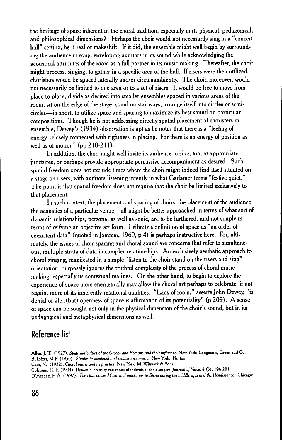the heritage of space inherent in the choral tradition, especially in its physical, pedagogical, and philosophical dimensions? Perhaps the choir would not necessarily sing in a "concert hall" setting, be it real or makeshift. If it did, the ensemble might well begin by surrounding the audience in song, enveloping auditors in its sound while acknowledging the acoustical attributes of the room as a full partner in its music-making. Thereafter, the choir might process, singing, to gather in a specific area of the hall. If risers were then utilized, choristers would be spaced laterally and/or circumambiently. The choir, moreover, would not necessarily be limited to one area or to a set of risers. It would be free to move from place to place, divide as desired into smaller ensembles spaced in various areas of the room, sit on the edge of the stage, stand on stairways, arrange itself into circles or semicircles-in short, to utilize space and spacing to maximize its best sound on particular compositions. Though he is not addressing directly spatial placement of choristers in ensemble, Dewey's (1934) observation is apt as he notes that there is a "feeling of energy ... closely connected with rightness in placing. For there is an energy of position as well as of motion" (pp 210-211).

In addition, the choir might well invite its audience to sing, too, at appropriate junctures, or perhaps provide appropriate percussive accompaniment as desired. Such spatial freedom does not exclude times where the choir might indeed find itself situated on a stage on risers, with auditors listening intently in what Gadamer terms "festive quiet." The point is that spatial freedom does not require that the choir be limited exclusively to that placement.

In such context, the placement and spacing of choirs, the placement of the audience, the acoustics of a particular venue-all might be better approached in terms of what sort of dynamic relationships, personal as well as sonic, are to be furthered, and not simply in terms of reifying an objective art form. Leibnitz's definition of space as "an order of coexistent data" (quoted in Jammer, 1969, p 4) is perhaps instructive here. For, ultimately, the issues of choir spacing and choral sound are concerns that refer to simultaneous, multiple strata of data in complex relationships. An exclusively aesthetic approach to choral singing, manifested in a simple "listen to the choir stand on the risers and sing" orientation, purposely ignores the truthful complexity of the process of choral musicmaking, especially its contextual realities. On the other hand, to begin to explore the experience of space more energetically may allow the choral art perhaps to celebrate, if not regain, more of its inherently relational qualities. "Lack of room," asserts John Dewey, "is denial of life..(but) openness of space is affirmation of its potentiality" (p 209). A sense of space can be sought not only in the physical dimension of the choir's sound, but in its pedagogical and metaphysical dimensions as well.

### **Reference list**

- Allen. J. T. (1927). *Stage antiquities of the Greeks and Romans and their influence.* New York: Longmans, Green and Co. Bukofzer, M.F. (1950). *Studies* in *medieval and renaissance music.* New York: Norton.
- Cain, N. (1932). *Choral music and its practice.* New York: M. Witmark & Sons.
- Coleman. R. F. (1994). Dynamic intensity variations of individual choir singers. *Journal of Voice.* 8 (3), 196-201.
- D'Accone, F. A. (1997). *The civic muse: Music and musicians* in Siena *during the middle ages and the Renaissance.* Chicago: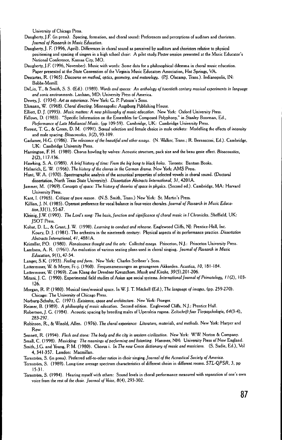University of Chicago Press.

- Daugherty, J.F. (in press). Spacing, formation, and choral sound: Preferences and perceptions of auditors and choristers. *Journal of Research* in *Music Education.*
- Daugherty, J. F. (1996, April). Differences in choral sound as perceived by auditors and choristers relative to physical positioning and spacing of singers in a high school choir: A pilot study. Poster session presented at the Music Educator's National Conference, Kansas City, MO.
- Daugherty, J.F. (1996, November). Music with words: Some data for a philosophical dilemma in choral music education. Paper presented at the State Convention of the Virginia Music Educators Association, Hot Springs, VA.
- Descartes, R. (1965). Discourse on melhod, *optics,* geomelry, *and* melerology. (P.j. Olscamp, Trans.). Indianapolis, IN: Babbs-Merrill.
- DeLio, T, & Smith, S. S. (Ed.). (1989). *Words and spaces:* An *anthology of Iwentieth century musical experimenls in* language *and* **sonic environments. Lanham, MD: University Press of America.**
- Dewey, j. (1934). *Arl as* experience. New York: G. P. Pulnam's Sons.
- Ehmann, W. (1968). Choral *directing.* Minneapolis: Augsburg Publishing House.
- Elliott, D. j. (1995). *Music mailers:* A *new philosophy of music* education. New York: Oxford University Press.
- Fallows, D. (1983). "Specific (nformation on the Ensembles for Composed Polyphony," in Slanley Boorman, Ed.,

*Performance of Late Mediaeval Music.* (pp 109.59). Cambridge, UK: Cambridge University Press.

- Forrest, T G., & Green, D. M. (1991). Sexual selection and female choice in mole crickets: Modelling the effects of intensity and male spacing. Bioacoustics, 3(2), 93-109.
- Gadamer, H-G. (1986). The relevance of the beautiful and other essays. (N. Walker, Trans.; R. Bernasconi, Ed.). Cambridge, UK: Cambridge University Press.
- Harrington, F. H. (1989). Chorus howling by wolves: Acoustic structure, pack size and the beau geste effect. Bioacoustics, 2(2),117-136.
- Hawking, S. A. (1989). A *brief hislory of time:* From *Ihe big bang* 10 *black* holes. Toronto: Bantam Books.
- Helmrich, E. W. (1966). The history of the chorus in the German drama. New York: AMS Press.
- Hunt, W. A. (1970). Spectrographic analysis of the acoustical properties of selected vowels in choral sound. (Doctoral dissertation, North Texas State University). *Disserlation Abstracts Inlernational,* 31, 4201 A.
- jammer, M. (1969). *Concepl.! of space:* ne *history of* theories *of space in physic.s.* (Second ed.). Cambridge, MA: Harvard University Press.
- Kant, I. (1965). *Crilique of pure reason.* (N.S. Smith, Trans.) New York: St. Martin's Press.
- Killian, j. N. (1985). Operant preference for vocal balance in four.voice chorales. *Journal of Research* in Music *Educa. lion,33(1),55.67.*
- Kleinig, J.W. (1993). The Lord's song: The basis, function and significance of choral music in I Chronicles. Sheffield, UK: **ISOT Press.**
- Kohut, D. L., & Grant, j. W. (1990). *Learning* <sup>10</sup> conduct *and rehearse.* Englewood Cliffs, NJ: Prentice.Hall, Inc. Koury, D. J. (1981). The orchestra in the nineteenth century: Physical aspects of its performance practice. Dissertation *Abstracls* Internalional, 41, 4881A.
- Kristeller, P.O. (1980). *Renaissance thought and* Ihe *oris:* Collected *essays.* Princeton, N.j.: Princeton University Press.
- Lambson, A. R. (1961). An evaluation of various seating plans used in choral singing. *Journal of Research* in *Music Education,* 9(1),47.54.
- Langer, S.K. (1953). *Feeling and form.* New York: Charles Scribner's Sons.
- Lottermoser, W. & Meyer, Fr.•j. (1960). Frequenzmessungen an gesungenen Akkorden. *Acustica, 10, 181.184.*
- Lottermoser, W. (1969). Zum Klang der Dresdner Kreuzchors. Musik und Kirche, 39(5),201-206.
- Mitani, J. C. (1990). Experimental field studies of Asian ape social systems. International Journal of Primatology, 11(2), 103-126.
- Morgan, R. P. (1980). Musical time/musical space. In W. J. T. Mitchell (Ed.), The language of images, (pp. 259-270). Chicago: The University of Chicago Press.
- Norburg-Schultz, C. (1971). *Existence, space and* archileclure. New York: Praeger.
- Reimer, B. (1989). A *philosophy of music educalion.* Second edition. Englewood Cliffs, N.j.: Prentice Hall.
- Robertson, J. G. (1984). Acoustic spacing by breeding males of Uperoleia rugosa. Zeitschrift fuer Tierpsychologie, 64(3-4), 283.297.
- Robinson, R., & Winold, Allen. (1976). The choral experience: Literature, *materials*, and *methods*. New York: Harper and Row.
- Sennett, R. (1994). *Flesh and stone: The body and the city in western civilization. New York: W.W. Norton & Company.*
- Small, C. (1998). Musicking: *The* meanings *of performing and listenting.* Hanover, NH: University Press of New England. Smith, J.G. and Young, P. M. (1980). Chorus i. In The new Grove dictionary of music and musicians. (S. Sadie, Ed.), Vol 4, 341.357. Landon: Macmillan.
- Ternstram, S. (in press). Preferred self-to.other ratios in choir singing. *Journal of Ihe Acoustical* Sociely *of America.*
- Ternstram, S. (1989). Long.time average spectrum characterislics of different choirs in different rooms. *STL.QPSR,* 3, pp 15.31.
- Ternström, S. (1994). Hearing myself with others: Sound levels in choral performance measured with separation of one's own voice from the rest of the choir. *Journal of Voice, B(4), 293.302.*